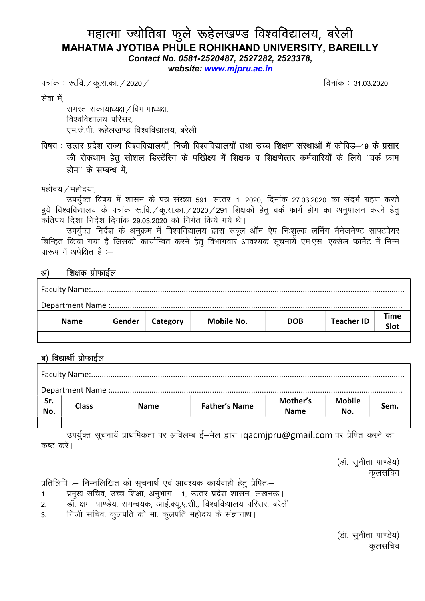# महात्मा ज्योतिबा फुले रूहेलखण्ड विश्वविद्यालय, बरेली MAHATMA JYOTIBA PHULE ROHIKHAND UNIVERSITY, BAREILLY

Contact No. 0581-2520487, 2527282, 2523378,

website: www.mjpru.ac.in

i=kad % :-fo-@dq-l-dk-@2020@ fnukda % 31-03-2020

सेवा में

समस्त संकायाध्यक्ष / विभागाध्यक्ष, विश्वविद्यालय परिसर. एम.जे.पी. रूहेलखण्ड विश्वविद्यालय. बरेली

## विषय : उत्तर प्रदेश राज्य विश्वविद्यालयों. निजी विश्वविद्यालयों तथा उच्च शिक्षण संस्थाओं में कोविड–19 के प्रसार की रोकथाम हेतु सोशल डिस्टेंस्गि के परिप्रेक्ष्य में शिक्षक व शिक्षणेत्तर कर्मचारियों के लिये ''वर्क फ्राम होम" के सम्बन्ध में

महोदय $/$ महोदया,

उपर्युक्त विषय में शासन के पत्र संख्या 591–सत्तर–1–2020, दिनांक 27.03.2020 का संदर्भ ग्रहण करते हये विश्वविद्यालय के पत्रांक रू.वि. / क.स.का. / 2020 / 291 शिक्षकों हेतु वर्क फार्म होम का अनुपालन करने हेतु कतिपय दिशा निर्देश दिनांक 29.03.2020 को निर्गत किये गये थे।

उपर्युक्त निर्देश के अनुक्रम में विश्वविद्यालय द्वारा स्कूल ऑन ऐप निःशुल्क लर्निंग मैनेजमेण्ट साफ्टवेयर चिन्हित किया गया है जिसको कार्यान्वित करने हेतु विभागवार आवश्यक सुचनायें एम.एस. एक्सेल फार्मेट में निम्न प्रारूप में अपेक्षित है $:=$ 

| अ<br>शिक्षक प्रोफाईल |        |          |                   |            |                   |              |  |  |  |  |
|----------------------|--------|----------|-------------------|------------|-------------------|--------------|--|--|--|--|
|                      |        |          |                   |            |                   |              |  |  |  |  |
|                      |        |          |                   |            |                   |              |  |  |  |  |
| <b>Name</b>          | Gender | Category | <b>Mobile No.</b> | <b>DOB</b> | <b>Teacher ID</b> | Time<br>Slot |  |  |  |  |
|                      |        |          |                   |            |                   |              |  |  |  |  |

## ब) विद्यार्थी प्रोफाईल

| Sr. | <b>Class</b> | <b>Name</b> | <b>Father's Name</b> | Mother's    | <b>Mobile</b> | Sem. |  |  |  |  |
|-----|--------------|-------------|----------------------|-------------|---------------|------|--|--|--|--|
| No. |              |             |                      | <b>Name</b> | No.           |      |  |  |  |  |
|     |              |             |                      |             |               |      |  |  |  |  |

.<br>उपर्युक्त सूचनायें प्राथमिकता पर अविलम्ब ई—मेल द्वारा iqacmjpru@gmail.com पर प्रेषित करने का कष्ट करें।

> (डॉ. सुनीता पाण्डेय) कूलसचिव

प्रतिलिपि :– निम्नलिखित को सुचनार्थ एवं आवश्यक कार्यवाही हेतु प्रेषित:–

1. प्रमुख सचिव, उच्च शिक्षा, अनुभाग −1, उत्तर प्रदेश शासन, लखनऊ ।<br>2. डॉ. क्षमा पाण्डेय. समन्वयक. आई.क्य.ए.सी.. विश्वविद्यालय परिसर. बरेल

<u>र्डॉ. क्षमा पाण्डेय, समन्वयक, आई.क्य.ए.सी., विश्वविद्यालय परिसर, बरेली।</u>

3. निजी सचिव, कुलपति को मा. कुलपति महोदय के संज्ञानार्थ।

(डॉ. सुनीता पाण्डेय) कूलसचिव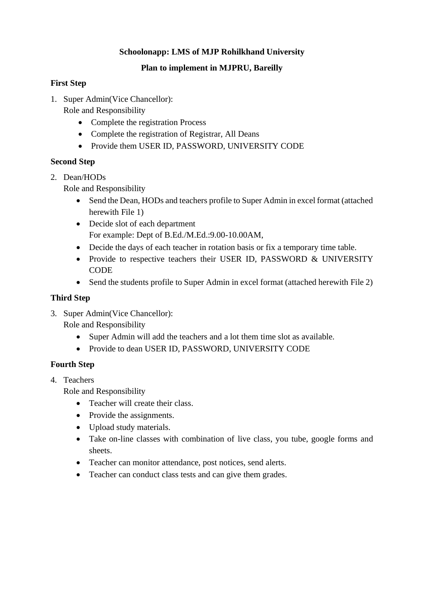#### **Schoolonapp: LMS of MJP Rohilkhand University**

#### **Plan to implement in MJPRU, Bareilly**

#### **First Step**

- 1. Super Admin(Vice Chancellor):
	- Role and Responsibility
		- Complete the registration Process
		- Complete the registration of Registrar, All Deans
		- Provide them USER ID, PASSWORD, UNIVERSITY CODE

### **Second Step**

2. Dean/HODs

Role and Responsibility

- Send the Dean, HODs and teachers profile to Super Admin in excel format (attached herewith File 1)
- Decide slot of each department For example: Dept of B.Ed./M.Ed.:9.00-10.00AM,
- Decide the days of each teacher in rotation basis or fix a temporary time table.
- Provide to respective teachers their USER ID, PASSWORD & UNIVERSITY **CODE**
- Send the students profile to Super Admin in excel format (attached herewith File 2)

## **Third Step**

3. Super Admin(Vice Chancellor):

Role and Responsibility

- Super Admin will add the teachers and a lot them time slot as available.
- Provide to dean USER ID, PASSWORD, UNIVERSITY CODE

### **Fourth Step**

4. Teachers

Role and Responsibility

- Teacher will create their class.
- Provide the assignments.
- Upload study materials.
- Take on-line classes with combination of live class, you tube, google forms and sheets.
- Teacher can monitor attendance, post notices, send alerts.
- Teacher can conduct class tests and can give them grades.